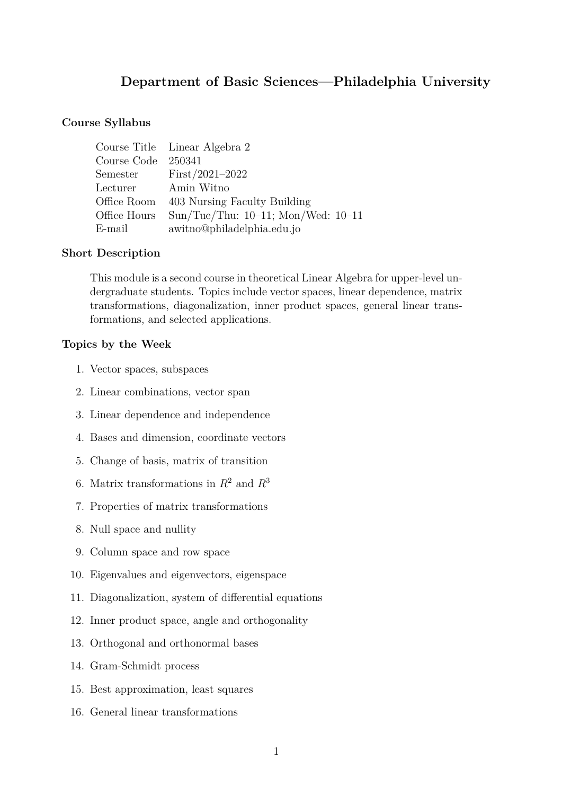# **Department of Basic Sciences—Philadelphia University**

# **Course Syllabus**

|                     | Course Title Linear Algebra 2            |
|---------------------|------------------------------------------|
| Course Code 250341  |                                          |
|                     | Semester $First/2021-2022$               |
| Lecturer Amin Witno |                                          |
|                     | Office Room 403 Nursing Faculty Building |
| Office Hours        | Sun/Tue/Thu: $10-11$ ; Mon/Wed: $10-11$  |
| E-mail              | awitno@philadelphia.edu.jo               |

#### **Short Description**

This module is a second course in theoretical Linear Algebra for upper-level undergraduate students. Topics include vector spaces, linear dependence, matrix transformations, diagonalization, inner product spaces, general linear transformations, and selected applications.

#### **Topics by the Week**

- 1. Vector spaces, subspaces
- 2. Linear combinations, vector span
- 3. Linear dependence and independence
- 4. Bases and dimension, coordinate vectors
- 5. Change of basis, matrix of transition
- 6. Matrix transformations in *R*<sup>2</sup> and *R*<sup>3</sup>
- 7. Properties of matrix transformations
- 8. Null space and nullity
- 9. Column space and row space
- 10. Eigenvalues and eigenvectors, eigenspace
- 11. Diagonalization, system of differential equations
- 12. Inner product space, angle and orthogonality
- 13. Orthogonal and orthonormal bases
- 14. Gram-Schmidt process
- 15. Best approximation, least squares
- 16. General linear transformations